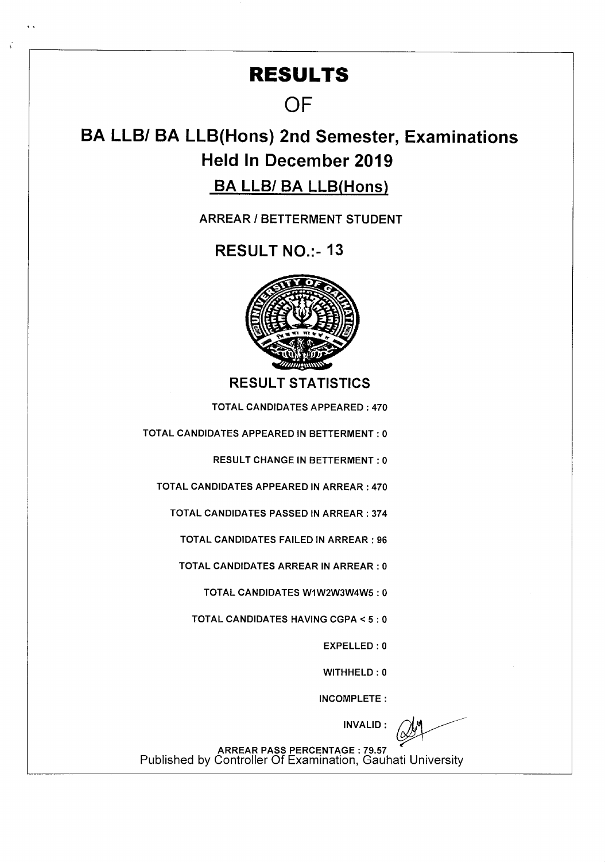## **RESULTS**

## **OF**

# **BA LLBI BA LLB(Hons) 2nd Semester, Examinations Held In December 2019**

## BA LLB/ BA LLB(Hons)

**ARREAR I BETTERMENT STUDENT** 

RESULT NO.:- 13



**RESULT STATISTICS** 

TOTAL CANDIDATES APPEARED : 470

TOTAL CANDIDATES APPEARED IN BETTERMENT : 0

RESULT CHANGE IN BETTERMENT : 0

TOTAL CANDIDATES APPEARED IN ARREAR : 470

TOTAL CANDIDATES PASSED IN ARREAR : 374

TOTAL CANDIDATES FAILED IN ARREAR : 96

TOTAL CANDIDATES ARREAR IN ARREAR : 0

TOTAL CANDIDATES WIW2W3W4W5 : 0

TOTAL CANDIDATES HAVING CGPA < 5 : 0

EXPELLED : 0

WITHHELD : 0

INCOMPLETE:

INVALID:

ARREAR PASS PERCENTAGE : 79.57 Published by Controller Of Examination, Gauhati University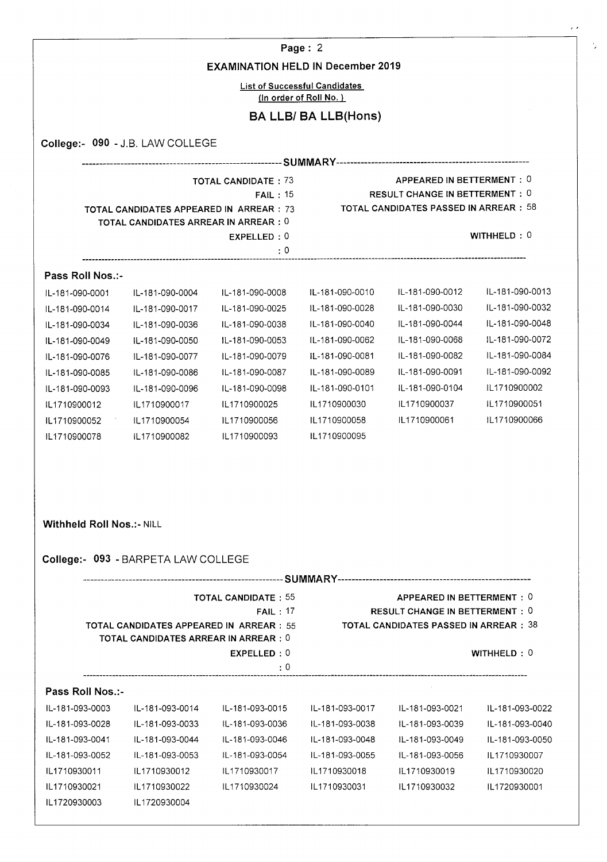### Page: 2

 $\cdot$ 

š,

#### EXAMINATION HELD IN December 2019

List of Successful Candidates (In order **of Roll No.)** 

### BA LLB/ BA LLB(Hons)

|                  | <b>TOTAL CANDIDATES APPEARED IN ARREAR: 73</b><br>TOTAL CANDIDATES ARREAR IN ARREAR: 0 | <b>TOTAL CANDIDATE: 73</b><br>FAIL: 15 |                 | APPEARED IN BETTERMENT: 0<br><b>RESULT CHANGE IN BETTERMENT: 0</b><br><b>TOTAL CANDIDATES PASSED IN ARREAR : 58</b> |                 |
|------------------|----------------------------------------------------------------------------------------|----------------------------------------|-----------------|---------------------------------------------------------------------------------------------------------------------|-----------------|
|                  |                                                                                        | EXPELLED: 0<br>: 0                     |                 |                                                                                                                     | WITHHELD: $0$   |
| Pass Roll Nos.:- |                                                                                        |                                        |                 |                                                                                                                     |                 |
| IL-181-090-0001  | IL-181-090-0004                                                                        | IL-181-090-0008                        | IL-181-090-0010 | IL-181-090-0012                                                                                                     | IL-181-090-0013 |
| IL-181-090-0014  | IL-181-090-0017                                                                        | IL-181-090-0025                        | IL-181-090-0028 | IL-181-090-0030                                                                                                     | IL-181-090-0032 |
| IL-181-090-0034  | IL-181-090-0036                                                                        | IL-181-090-0038                        | IL-181-090-0040 | IL-181-090-0044                                                                                                     | IL-181-090-0048 |
| IL-181-090-0049  | IL-181-090-0050                                                                        | IL-181-090-0053                        | IL-181-090-0062 | IL-181-090-0068                                                                                                     | IL-181-090-0072 |
| IL-181-090-0076  | IL-181-090-0077                                                                        | IL-181-090-0079                        | IL-181-090-0081 | IL-181-090-0082                                                                                                     | IL-181-090-0084 |
| IL-181-090-0085  | IL-181-090-0086                                                                        | IL-181-090-0087                        | IL-181-090-0089 | IL-181-090-0091                                                                                                     | IL-181-090-0092 |
| IL-181-090-0093  | IL-181-090-0096                                                                        | IL-181-090-0098                        | IL-181-090-0101 | IL-181-090-0104                                                                                                     | IL1710900002    |
| IL1710900012     | IL1710900017                                                                           | IL1710900025                           | IL1710900030    | IL1710900037                                                                                                        | IL1710900051    |
| IL1710900052     | IL1710900054                                                                           | IL1710900056                           | IL1710900058    | IL1710900061                                                                                                        | IL1710900066    |
| IL1710900078     | IL1710900082                                                                           | IL1710900093                           | IL1710900095    |                                                                                                                     |                 |

Withheld Roll Nos.:- NILL

## College:- 093 - BARPETA LAW COLLEGE

|                  |                                                                                                                                                 |                            | -SUMMARY        |                                        |                 |  |
|------------------|-------------------------------------------------------------------------------------------------------------------------------------------------|----------------------------|-----------------|----------------------------------------|-----------------|--|
|                  |                                                                                                                                                 | <b>TOTAL CANDIDATE: 55</b> |                 | APPEARED IN BETTERMENT: 0              |                 |  |
|                  |                                                                                                                                                 | FAIL: 17                   |                 | <b>RESULT CHANGE IN BETTERMENT : 0</b> |                 |  |
|                  | <b>TOTAL CANDIDATES PASSED IN ARREAR : 38</b><br><b>TOTAL CANDIDATES APPEARED IN ARREAR: 55</b><br><b>TOTAL CANDIDATES ARREAR IN ARREAR : 0</b> |                            |                 |                                        |                 |  |
|                  |                                                                                                                                                 | EXPELLED: 0                |                 |                                        | WITHHELD $: 0$  |  |
|                  |                                                                                                                                                 | : 0                        |                 |                                        |                 |  |
| Pass Roll Nos.:- |                                                                                                                                                 |                            |                 |                                        |                 |  |
| IL-181-093-0003  | IL-181-093-0014                                                                                                                                 | IL-181-093-0015            | IL-181-093-0017 | IL-181-093-0021                        | IL-181-093-0022 |  |
| IL-181-093-0028  | IL-181-093-0033                                                                                                                                 | IL-181-093-0036            | IL-181-093-0038 | IL-181-093-0039                        | IL-181-093-0040 |  |
| IL-181-093-0041  | IL-181-093-0044                                                                                                                                 | IL-181-093-0046            | IL-181-093-0048 | IL-181-093-0049                        | IL-181-093-0050 |  |
| IL-181-093-0052  | IL-181-093-0053                                                                                                                                 | IL-181-093-0054            | IL-181-093-0055 | IL-181-093-0056                        | IL1710930007    |  |
| IL1710930011     | IL1710930012                                                                                                                                    | IL1710930017               | IL1710930018    | IL1710930019                           | IL1710930020    |  |
| IL1710930021     | IL1710930022                                                                                                                                    | IL1710930024               | IL1710930031    | IL1710930032                           | IL1720930001    |  |
| IL1720930003     | IL1720930004                                                                                                                                    |                            |                 |                                        |                 |  |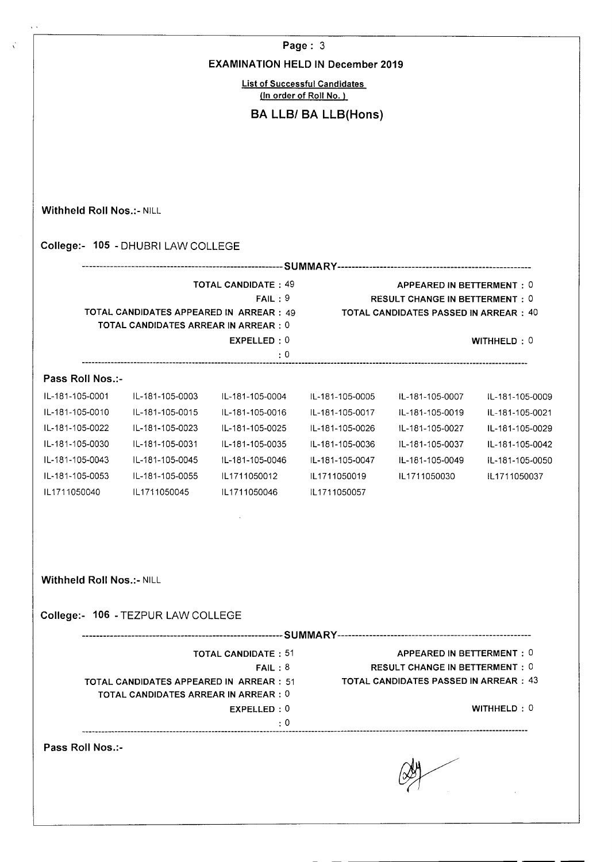|                                  |                                                                                         | <b>EXAMINATION HELD IN December 2019</b> | Page: $3$                            |                                                                                      |                 |
|----------------------------------|-----------------------------------------------------------------------------------------|------------------------------------------|--------------------------------------|--------------------------------------------------------------------------------------|-----------------|
|                                  |                                                                                         |                                          | <b>List of Successful Candidates</b> |                                                                                      |                 |
|                                  |                                                                                         |                                          | (In order of Roll No.)               |                                                                                      |                 |
|                                  |                                                                                         |                                          | <b>BA LLB/ BA LLB(Hons)</b>          |                                                                                      |                 |
|                                  |                                                                                         |                                          |                                      |                                                                                      |                 |
|                                  |                                                                                         |                                          |                                      |                                                                                      |                 |
|                                  |                                                                                         |                                          |                                      |                                                                                      |                 |
| Withheld Roll Nos.:- NILL        |                                                                                         |                                          |                                      |                                                                                      |                 |
|                                  | College:- 105 - DHUBRI LAW COLLEGE                                                      |                                          |                                      |                                                                                      |                 |
|                                  |                                                                                         |                                          |                                      |                                                                                      |                 |
|                                  |                                                                                         | <b>TOTAL CANDIDATE: 49</b><br>FAIL:9     |                                      | APPEARED IN BETTERMENT: 0<br><b>RESULT CHANGE IN BETTERMENT: 0</b>                   |                 |
|                                  | TOTAL CANDIDATES APPEARED IN ARREAR : 49<br>TOTAL CANDIDATES ARREAR IN ARREAR : 0       |                                          |                                      | <b>TOTAL CANDIDATES PASSED IN ARREAR : 40</b>                                        |                 |
|                                  |                                                                                         | EXPELLED: 0                              |                                      |                                                                                      | WITHHELD: 0     |
|                                  |                                                                                         | $\cdot$ 0                                |                                      |                                                                                      |                 |
| Pass Roll Nos.:-                 |                                                                                         |                                          |                                      |                                                                                      |                 |
| IL-181-105-0001                  | IL-181-105-0003                                                                         | IL-181-105-0004                          | IL-181-105-0005                      | IL-181-105-0007                                                                      | IL-181-105-0009 |
| IL-181-105-0010                  | IL-181-105-0015                                                                         | IL-181-105-0016                          | IL-181-105-0017                      | IL-181-105-0019                                                                      | IL-181-105-0021 |
| IL-181-105-0022                  | IL-181-105-0023                                                                         | IL-181-105-0025                          | IL-181-105-0026                      | IL-181-105-0027                                                                      | IL-181-105-0029 |
| IL-181-105-0030                  | IL-181-105-0031                                                                         | IL-181-105-0035                          | IL-181-105-0036                      | IL-181-105-0037                                                                      | IL-181-105-0042 |
| IL-181-105-0043                  | IL-181-105-0045                                                                         | IL-181-105-0046                          | IL-181-105-0047                      | IL-181-105-0049                                                                      | IL-181-105-0050 |
| IL-181-105-0053                  | IL-181-105-0055                                                                         | IL1711050012                             | IL1711050019                         | IL1711050030                                                                         | IL1711050037    |
| IL1711050040                     | IL1711050045                                                                            | IL1711050046                             | IL1711050057                         |                                                                                      |                 |
|                                  |                                                                                         |                                          |                                      |                                                                                      |                 |
|                                  |                                                                                         |                                          |                                      |                                                                                      |                 |
|                                  |                                                                                         |                                          |                                      |                                                                                      |                 |
| <b>Withheld Roll Nos.:- NILL</b> |                                                                                         |                                          |                                      |                                                                                      |                 |
|                                  | College:- 106 - TEZPUR LAW COLLEGE                                                      |                                          |                                      |                                                                                      |                 |
|                                  |                                                                                         |                                          |                                      |                                                                                      |                 |
|                                  |                                                                                         | <b>TOTAL CANDIDATE: 51</b>               |                                      | APPEARED IN BETTERMENT: 0                                                            |                 |
|                                  | TOTAL CANDIDATES APPEARED IN ARREAR : 51<br><b>TOTAL CANDIDATES ARREAR IN ARREAR: 0</b> | FAIL:8                                   |                                      | <b>RESULT CHANGE IN BETTERMENT: 0</b><br><b>TOTAL CANDIDATES PASSED IN ARREAR:43</b> |                 |
|                                  |                                                                                         | EXPELLED: 0                              |                                      |                                                                                      | WITHHELD: 0     |
|                                  |                                                                                         | : 0                                      |                                      |                                                                                      |                 |
| Pass Roll Nos.:-                 |                                                                                         |                                          |                                      |                                                                                      |                 |
|                                  |                                                                                         |                                          |                                      |                                                                                      |                 |
|                                  |                                                                                         |                                          |                                      |                                                                                      |                 |

k)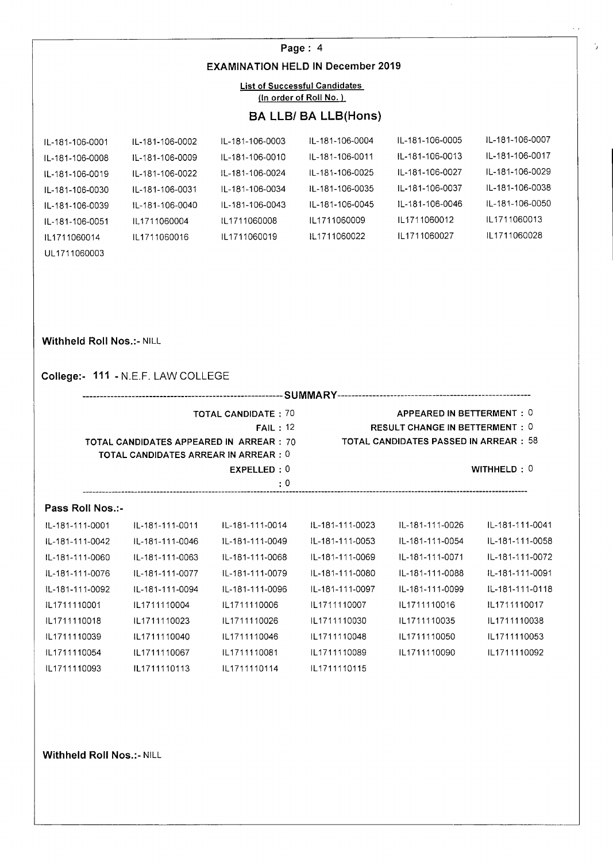## **Page:** 4 **EXAMINATION HELD IN December 2019**

#### List of Successful Candidates **(In order of Roll No.)**

## **BA LLB/ BA LLB(Hons)**

 $\mathcal{L}^{\mathcal{L}}$ 

ý.

| IL-181-106-0001 | IL-181-106-0002  | IL-181-106-0003 | IL-181-106-0004 | IL-181-106-0005 | IL-181-106-0007 |
|-----------------|------------------|-----------------|-----------------|-----------------|-----------------|
| IL-181-106-0008 | IL-181-106-0009  | IL-181-106-0010 | IL-181-106-0011 | IL-181-106-0013 | IL-181-106-0017 |
| IL-181-106-0019 | IL-181-106-0022  | IL-181-106-0024 | IL-181-106-0025 | IL-181-106-0027 | IL-181-106-0029 |
| IL-181-106-0030 | 11.-181-106-0031 | IL-181-106-0034 | IL-181-106-0035 | IL-181-106-0037 | IL-181-106-0038 |
| IL-181-106-0039 | IL-181-106-0040  | IL-181-106-0043 | IL-181-106-0045 | IL-181-106-0046 | IL-181-106-0050 |
| IL-181-106-0051 | 11.1711060004    | 11 1711060008   | IL1711060009    | 111711060012    | IL1711060013    |
| IL1711060014    | IL1711060016     | IL1711060019    | IL1711060022    | IL1711060027    | IL1711060028    |

#### **Withheld Roll Nos.:- NILL**

UL17 11060003

## **College:- 111** -N.E.F. LAW COLLEGE

|                  |                                                | <b>TOTAL CANDIDATE: 70</b><br>FAIL: 12 |                 | APPEARED IN BETTERMENT: 0<br><b>RESULT CHANGE IN BETTERMENT: 0</b> |                 |  |  |  |
|------------------|------------------------------------------------|----------------------------------------|-----------------|--------------------------------------------------------------------|-----------------|--|--|--|
|                  | <b>TOTAL CANDIDATES APPEARED IN ARREAR: 70</b> |                                        |                 | <b>TOTAL CANDIDATES PASSED IN ARREAR: 58</b>                       |                 |  |  |  |
|                  | <b>TOTAL CANDIDATES ARREAR IN ARREAR: 0</b>    |                                        |                 |                                                                    |                 |  |  |  |
|                  |                                                | EXPELLED: 0                            |                 |                                                                    | WITHHELD: $0$   |  |  |  |
|                  |                                                | : 0                                    |                 |                                                                    |                 |  |  |  |
| Pass Roll Nos.:- |                                                |                                        |                 |                                                                    |                 |  |  |  |
| IL-181-111-0001  | IL-181-111-0011                                | IL-181-111-0014                        | IL-181-111-0023 | IL-181-111-0026                                                    | IL-181-111-0041 |  |  |  |
| IL-181-111-0042  | IL-181-111-0046                                | IL-181-111-0049                        | IL-181-111-0053 | IL-181-111-0054                                                    | IL-181-111-0058 |  |  |  |
| IL-181-111-0060  | IL-181-111-0063                                | IL-181-111-0068                        | IL-181-111-0069 | IL-181-111-0071                                                    | IL-181-111-0072 |  |  |  |
| IL-181-111-0076  | IL-181-111-0077                                | IL-181-111-0079                        | IL-181-111-0080 | IL-181-111-0088                                                    | IL-181-111-0091 |  |  |  |
| IL-181-111-0092  | IL-181-111-0094                                | IL-181-111-0096                        | IL-181-111-0097 | IL-181-111-0099                                                    | IL-181-111-0118 |  |  |  |
| IL1711110001     | IL1711110004                                   | IL1711110006                           | IL1711110007    | IL1711110016                                                       | IL1711110017    |  |  |  |
| IL1711110018     | IL1711110023                                   | IL1711110026                           | IL1711110030    | IL1711110035                                                       | IL1711110038    |  |  |  |
| IL1711110039     | IL1711110040                                   | IL1711110046                           | IL1711110048    | IL1711110050                                                       | IL1711110053    |  |  |  |
| IL1711110054     | IL1711110067                                   | IL1711110081                           | IL1711110089    | IL1711110090                                                       | IL1711110092    |  |  |  |
|                  |                                                |                                        |                 |                                                                    |                 |  |  |  |

IL1711110093 IL1711110113 IL1711110114 IL1711110115

**Withheld Roll Nos.:- NILL**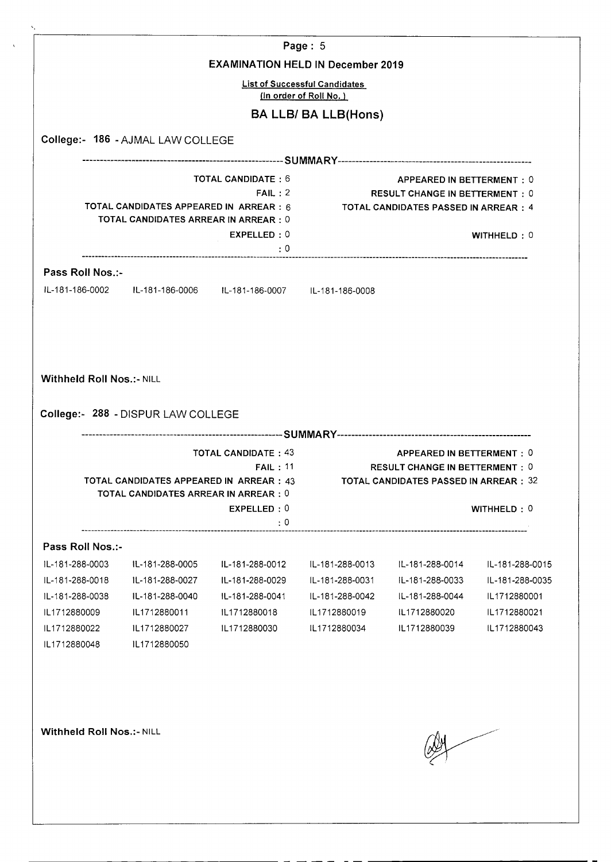|                                                                                                                                                               |                                                                                                 |                                                                 | Page: 5                                                        |                                             |                 |
|---------------------------------------------------------------------------------------------------------------------------------------------------------------|-------------------------------------------------------------------------------------------------|-----------------------------------------------------------------|----------------------------------------------------------------|---------------------------------------------|-----------------|
|                                                                                                                                                               |                                                                                                 | <b>EXAMINATION HELD IN December 2019</b>                        |                                                                |                                             |                 |
|                                                                                                                                                               |                                                                                                 |                                                                 | <b>List of Successful Candidates</b><br>(In order of Roll No.) |                                             |                 |
|                                                                                                                                                               |                                                                                                 |                                                                 | <b>BA LLB/ BA LLB(Hons)</b>                                    |                                             |                 |
|                                                                                                                                                               | College:- 186 - AJMAL LAW COLLEGE                                                               |                                                                 |                                                                |                                             |                 |
|                                                                                                                                                               |                                                                                                 |                                                                 |                                                                |                                             |                 |
|                                                                                                                                                               |                                                                                                 | <b>TOTAL CANDIDATE: 6</b>                                       |                                                                | <b>APPEARED IN BETTERMENT: 0</b>            |                 |
|                                                                                                                                                               |                                                                                                 | FAIL:2                                                          |                                                                | <b>RESULT CHANGE IN BETTERMENT: 0</b>       |                 |
|                                                                                                                                                               | TOTAL CANDIDATES APPEARED IN ARREAR : 6<br><b>TOTAL CANDIDATES ARREAR IN ARREAR: 0</b>          |                                                                 |                                                                | <b>TOTAL CANDIDATES PASSED IN ARREAR: 4</b> |                 |
|                                                                                                                                                               |                                                                                                 | EXPELLED: 0                                                     |                                                                |                                             | WITHHELD: 0     |
|                                                                                                                                                               |                                                                                                 | : 0                                                             |                                                                |                                             |                 |
| Pass Roll Nos.:-                                                                                                                                              |                                                                                                 |                                                                 |                                                                |                                             |                 |
|                                                                                                                                                               |                                                                                                 | IL-181-186-0002 IL-181-186-0006 IL-181-186-0007 IL-181-186-0008 |                                                                |                                             |                 |
|                                                                                                                                                               |                                                                                                 |                                                                 |                                                                |                                             |                 |
|                                                                                                                                                               |                                                                                                 |                                                                 |                                                                |                                             |                 |
|                                                                                                                                                               | College:- 288 - DISPUR LAW COLLEGE                                                              |                                                                 |                                                                |                                             |                 |
|                                                                                                                                                               |                                                                                                 | <b>TOTAL CANDIDATE: 43</b>                                      |                                                                | APPEARED IN BETTERMENT: 0                   |                 |
|                                                                                                                                                               |                                                                                                 |                                                                 | FAIL: 11                                                       | <b>RESULT CHANGE IN BETTERMENT: 0</b>       |                 |
|                                                                                                                                                               | <b>TOTAL CANDIDATES APPEARED IN ARREAR : 43</b><br><b>TOTAL CANDIDATES ARREAR IN ARREAR : 0</b> |                                                                 |                                                                | TOTAL CANDIDATES PASSED IN ARREAR : 32      |                 |
|                                                                                                                                                               |                                                                                                 | EXPELLED: 0                                                     |                                                                |                                             | WITHHELD: 0     |
|                                                                                                                                                               |                                                                                                 | $\cdot$ 0                                                       |                                                                |                                             |                 |
|                                                                                                                                                               |                                                                                                 |                                                                 |                                                                |                                             |                 |
|                                                                                                                                                               | IL-181-288-0005                                                                                 | IL-181-288-0012                                                 | IL-181-288-0013                                                | IL-181-288-0014                             | IL-181-288-0015 |
|                                                                                                                                                               | IL-181-288-0027                                                                                 | IL-181-288-0029                                                 | IL-181-288-0031                                                | IL-181-288-0033                             | IL-181-288-0035 |
|                                                                                                                                                               | IL-181-288-0040                                                                                 | IL-181-288-0041                                                 | IL-181-288-0042                                                | IL-181-288-0044                             | IL1712880001    |
|                                                                                                                                                               | IL1712880011                                                                                    | IL1712880018                                                    | IL1712880019                                                   | IL1712880020                                | IL1712880021    |
|                                                                                                                                                               | IL1712880027                                                                                    | IL1712880030                                                    | IL1712880034                                                   | IL1712880039                                | IL1712880043    |
| <b>Withheld Roll Nos.:- NILL</b><br>Pass Roll Nos.:-<br>IL-181-288-0003<br>IL-181-288-0018<br>IL-181-288-0038<br>IL1712880009<br>IL1712880022<br>IL1712880048 | IL1712880050                                                                                    |                                                                 |                                                                |                                             |                 |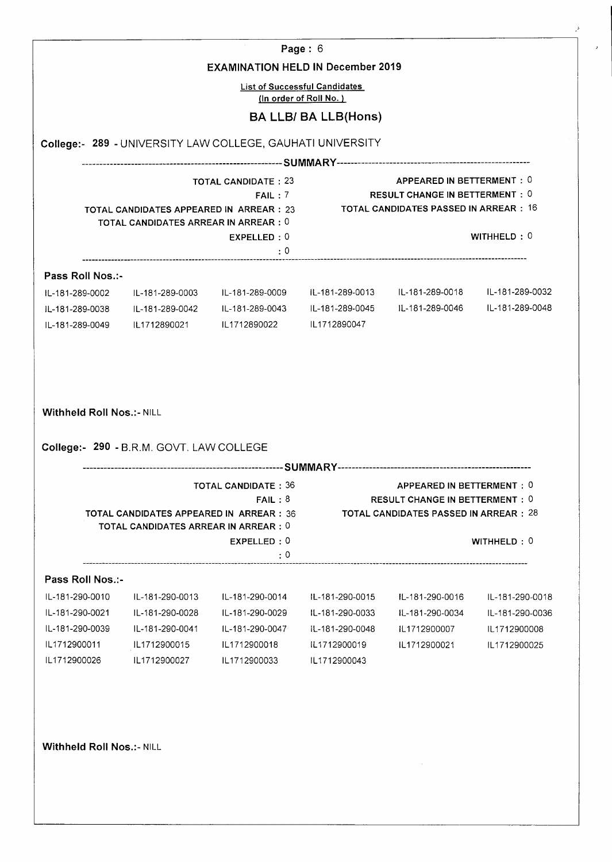|                                                                                                                               | <b>EXAMINATION HELD IN December 2019</b>                                                                                            |                                                                                                                         | List of Successful Candidates<br>(In order of Roll No.) |                                                                                                                     |                                                                    |
|-------------------------------------------------------------------------------------------------------------------------------|-------------------------------------------------------------------------------------------------------------------------------------|-------------------------------------------------------------------------------------------------------------------------|---------------------------------------------------------|---------------------------------------------------------------------------------------------------------------------|--------------------------------------------------------------------|
|                                                                                                                               |                                                                                                                                     |                                                                                                                         | <b>BA LLB/ BA LLB(Hons)</b>                             |                                                                                                                     |                                                                    |
|                                                                                                                               |                                                                                                                                     | College:- 289 - UNIVERSITY LAW COLLEGE, GAUHATI UNIVERSITY                                                              |                                                         |                                                                                                                     |                                                                    |
|                                                                                                                               |                                                                                                                                     |                                                                                                                         |                                                         |                                                                                                                     |                                                                    |
|                                                                                                                               | TOTAL CANDIDATES ARREAR IN ARREAR : 0                                                                                               | <b>TOTAL CANDIDATE: 23</b><br>FAIL:7<br>TOTAL CANDIDATES APPEARED IN ARREAR : 23 TOTAL CANDIDATES PASSED IN ARREAR : 16 |                                                         | APPEARED IN BETTERMENT: 0<br>RESULT CHANGE IN BETTERMENT: 0                                                         | WITHHELD: 0                                                        |
|                                                                                                                               |                                                                                                                                     | EXPELLED: 0<br>$\cdot$ 0                                                                                                |                                                         |                                                                                                                     |                                                                    |
| Pass Roll Nos.:-                                                                                                              |                                                                                                                                     |                                                                                                                         |                                                         |                                                                                                                     |                                                                    |
|                                                                                                                               |                                                                                                                                     | IL-181-289-0002 IL-181-289-0003 IL-181-289-0009 IL-181-289-0013 IL-181-289-0018 IL-181-289-0032                         |                                                         |                                                                                                                     |                                                                    |
|                                                                                                                               |                                                                                                                                     | IL-181-289-0038 IL-181-289-0042 IL-181-289-0043 IL-181-289-0045 IL-181-289-0046 IL-181-289-0048                         |                                                         |                                                                                                                     |                                                                    |
|                                                                                                                               |                                                                                                                                     |                                                                                                                         |                                                         |                                                                                                                     |                                                                    |
|                                                                                                                               |                                                                                                                                     |                                                                                                                         |                                                         |                                                                                                                     |                                                                    |
|                                                                                                                               | College:- 290 - B.R.M. GOVT. LAW COLLEGE<br>TOTAL CANDIDATES APPEARED IN ARREAR : 36<br><b>TOTAL CANDIDATES ARREAR IN ARREAR: 0</b> | <b>TOTAL CANDIDATE: 36</b><br>FAIL:8<br>EXPELLED: 0                                                                     |                                                         | APPEARED IN BETTERMENT: 0<br><b>RESULT CHANGE IN BETTERMENT: 0</b><br><b>TOTAL CANDIDATES PASSED IN ARREAR : 28</b> | WITHHELD: 0                                                        |
|                                                                                                                               |                                                                                                                                     | $\cdot$ 0                                                                                                               |                                                         |                                                                                                                     |                                                                    |
|                                                                                                                               |                                                                                                                                     |                                                                                                                         |                                                         |                                                                                                                     |                                                                    |
|                                                                                                                               | IL-181-290-0013                                                                                                                     | IL-181-290-0014                                                                                                         | IL-181-290-0015                                         | IL-181-290-0016                                                                                                     |                                                                    |
|                                                                                                                               | IL-181-290-0028                                                                                                                     | IL-181-290-0029                                                                                                         | IL-181-290-0033                                         | IL-181-290-0034                                                                                                     |                                                                    |
| IL1712900011                                                                                                                  | IL-181-290-0041<br>IL1712900015                                                                                                     | IL-181-290-0047<br>IL1712900018                                                                                         | IL-181-290-0048<br>IL1712900019                         | IL1712900007<br>IL1712900021                                                                                        | IL-181-290-0018<br>IL-181-290-0036<br>IL1712900008<br>IL1712900025 |
| <b>Withheld Roll Nos.:- NILL</b><br>Pass Roll Nos.:-<br>IL-181-290-0010<br>IL-181-290-0021<br>IL-181-290-0039<br>IL1712900026 | IL1712900027                                                                                                                        | IL1712900033                                                                                                            | IL1712900043                                            |                                                                                                                     |                                                                    |